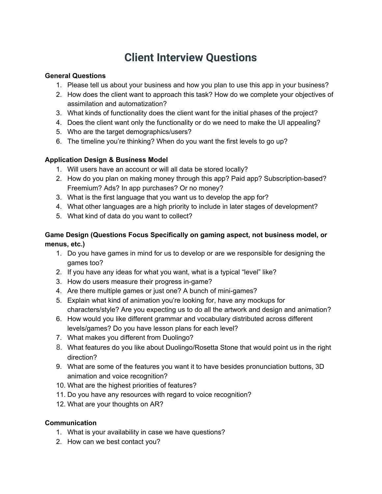# **Client Interview Questions**

## **General Questions**

- 1. Please tell us about your business and how you plan to use this app in your business?
- 2. How does the client want to approach this task? How do we complete your objectives of assimilation and automatization?
- 3. What kinds of functionality does the client want for the initial phases of the project?
- 4. Does the client want only the functionality or do we need to make the UI appealing?
- 5. Who are the target demographics/users?
- 6. The timeline you're thinking? When do you want the first levels to go up?

# **Application Design & Business Model**

- 1. Will users have an account or will all data be stored locally?
- 2. How do you plan on making money through this app? Paid app? Subscription-based? Freemium? Ads? In app purchases? Or no money?
- 3. What is the first language that you want us to develop the app for?
- 4. What other languages are a high priority to include in later stages of development?
- 5. What kind of data do you want to collect?

# **Game Design (Questions Focus Specifically on gaming aspect, not business model, or menus, etc.)**

- 1. Do you have games in mind for us to develop or are we responsible for designing the games too?
- 2. If you have any ideas for what you want, what is a typical "level" like?
- 3. How do users measure their progress in-game?
- 4. Are there multiple games or just one? A bunch of mini-games?
- 5. Explain what kind of animation you're looking for, have any mockups for characters/style? Are you expecting us to do all the artwork and design and animation?
- 6. How would you like different grammar and vocabulary distributed across different levels/games? Do you have lesson plans for each level?
- 7. What makes you different from Duolingo?
- 8. What features do you like about Duolingo/Rosetta Stone that would point us in the right direction?
- 9. What are some of the features you want it to have besides pronunciation buttons, 3D animation and voice recognition?
- 10. What are the highest priorities of features?
- 11. Do you have any resources with regard to voice recognition?
- 12. What are your thoughts on AR?

### **Communication**

- 1. What is your availability in case we have questions?
- 2. How can we best contact you?